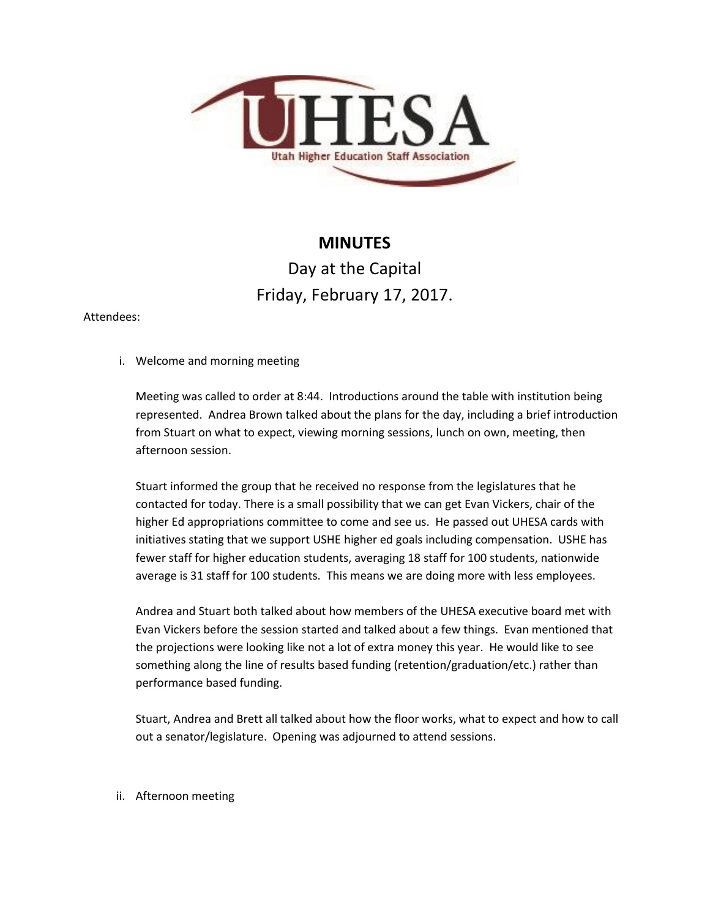

## **MINUTES**

## Day at the Capital Friday, February 17, 2017.

## Attendees:

i. Welcome and morning meeting

Meeting was called to order at 8:44. Introductions around the table with institution being represented. Andrea Brown talked about the plans for the day, including a brief introduction from Stuart on what to expect, viewing morning sessions, lunch on own, meeting, then afternoon session.

Stuart informed the group that he received no response from the legislatures that he contacted for today. There is a small possibility that we can get Evan Vickers, chair of the higher Ed appropriations committee to come and see us. He passed out UHESA cards with initiatives stating that we support USHE higher ed goals including compensation. USHE has fewer staff for higher education students, averaging 18 staff for 100 students, nationwide average is 31 staff for 100 students. This means we are doing more with less employees.

Andrea and Stuart both talked about how members of the UHESA executive board met with Evan Vickers before the session started and talked about a few things. Evan mentioned that the projections were looking like not a lot of extra money this year. He would like to see something along the line of results based funding (retention/graduation/etc.) rather than performance based funding.

Stuart, Andrea and Brett all talked about how the floor works, what to expect and how to call out a senator/legislature. Opening was adjourned to attend sessions.

ii. Afternoon meeting